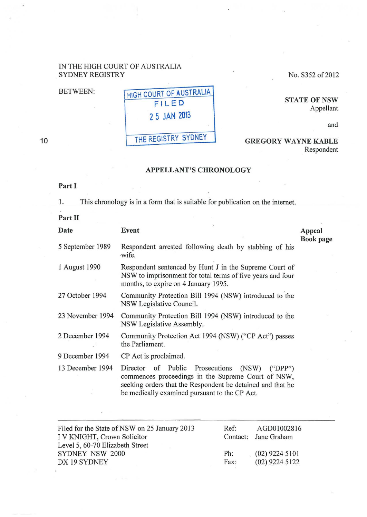## IN THE HIGH COURT OF AUSTRALIA SYDNEY REGISTRY No. S352 of 2012

## BETWEEN: HIGH COURT OF AUSTRALIA FILED 2 5 JAN 2013 THE REGISTRY SYDNEY GREGORY WAYNE KABLE

**STATE OF NSW** Appellant

and

Respondent

10

## APPELLANT'S CHRONOLOGY

## Part I

I. This chronology is in a form that is suitable for publication on the internet.

Part II

| Date             | Event                                                                                                                                                                      | Appeal<br><b>Book</b> page |
|------------------|----------------------------------------------------------------------------------------------------------------------------------------------------------------------------|----------------------------|
| 5 September 1989 | Respondent arrested following death by stabbing of his<br>wife.                                                                                                            |                            |
| 1 August 1990    | Respondent sentenced by Hunt J in the Supreme Court of<br>NSW to imprisonment for total terms of five years and four<br>months, to expire on 4 January 1995.               |                            |
| 27 October 1994  | Community Protection Bill 1994 (NSW) introduced to the<br>NSW Legislative Council.                                                                                         |                            |
| 23 November 1994 | Community Protection Bill 1994 (NSW) introduced to the<br>NSW Legislative Assembly.                                                                                        |                            |
| 2 December 1994  | Community Protection Act 1994 (NSW) ("CP Act") passes<br>the Parliament.                                                                                                   |                            |
| 9 December 1994  | CP Act is proclaimed.                                                                                                                                                      |                            |
| 13 December 1994 | Director of Public<br>Prosecutions<br>(NSW)<br>("DPP")<br>commences proceedings in the Supreme Court of NSW,<br>seeking orders that the Respondent be detained and that he |                            |

| Filed for the State of NSW on 25 January 2013 | Ref: | AGD01002816          |
|-----------------------------------------------|------|----------------------|
| I V KNIGHT, Crown Solicitor                   |      | Contact: Jane Graham |
| Level 5, 60-70 Elizabeth Street               |      |                      |
| SYDNEY NSW 2000                               | Ph:  | $(02)$ 9224 5101     |
| DX 19 SYDNEY                                  | Fax: | $(02)$ 9224 5122     |

be medically examined pursuant to the CP Act.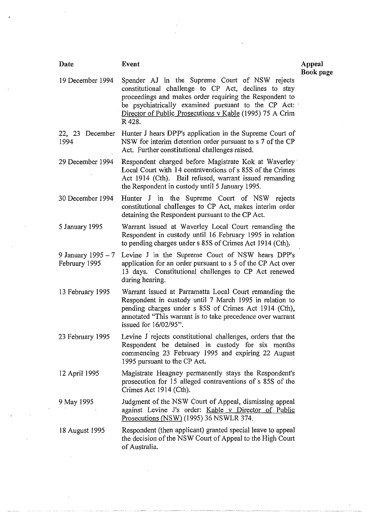| Date                                 | <b>Event</b>                                                                                                                                                                                                                                                                                   | Appeal    |
|--------------------------------------|------------------------------------------------------------------------------------------------------------------------------------------------------------------------------------------------------------------------------------------------------------------------------------------------|-----------|
| 19 December 1994                     | Spender AJ in the Supreme Court of NSW rejects<br>constitutional challenge to CP Act, declines to stay<br>proceedings and makes order requiring the Respondent to<br>be psychiatrically examined pursuant to the CP Act:<br>Director of Public Prosecutions v Kable (1995) 75 A Crim<br>R 428. | Book page |
| 22, 23 December<br>1994              | Hunter J hears DPP's application in the Supreme Court of<br>NSW for interim detention order pursuant to s 7 of the CP<br>Act. Further constitutional challenges raised.                                                                                                                        |           |
| 29 December 1994                     | Respondent charged before Magistrate Kok at Waverley<br>Local Court with 14 contraventions of s 85S of the Crimes<br>Act 1914 (Cth). Bail refused, warrant issued remanding<br>the Respondent in custody until 5 January 1995.                                                                 |           |
| 30 December 1994                     | Hunter J in the Supreme Court of NSW rejects<br>constitutional challenges to CP Act, makes interim order<br>detaining the Respondent pursuant to the CP Act.                                                                                                                                   |           |
| 5 January 1995                       | Warrant issued at Waverley Local Court remanding the<br>Respondent in custody until 16 February 1995 in relation<br>to pending charges under s 85S of Crimes Act 1914 (Cth).                                                                                                                   |           |
| 9 January 1995 $-7$<br>February 1995 | Levine J in the Supreme Court of NSW hears DPP's<br>application for an order pursuant to s 5 of the CP Act over<br>13 days. Constitutional challenges to CP Act renewed<br>during hearing.                                                                                                     |           |
| 13 February 1995                     | Warrant issued at Parramatta Local Court remanding the<br>Respondent in custody until 7 March 1995 in relation to<br>pending charges under s 85S of Crimes Act 1914 (Cth),<br>annotated "This warrant is to take precedence over warrant<br>issued for $16/02/95$ ".                           |           |
| 23 February 1995                     | Levine J rejects constitutional challenges, orders that the<br>Respondent be detained in custody for six months<br>commencing 23 February 1995 and expiring 22 August<br>1995 pursuant to the CP Act.                                                                                          |           |
| 12 April 1995                        | Magistrate Heagney permanently stays the Respondent's<br>prosecution for 15 alleged contraventions of s 85S of the<br>Crimes Act 1914 (Cth).                                                                                                                                                   |           |
| 9 May 1995                           | Judgment of the NSW Court of Appeal, dismissing appeal<br>against Levine J's order: Kable v Director of Public<br>Prosecutions (NSW) (1995) 36 NSWLR 374.                                                                                                                                      |           |
| 18 August 1995                       | Respondent (then applicant) granted special leave to appeal<br>the decision of the NSW Court of Appeal to the High Court<br>of Australia.                                                                                                                                                      |           |